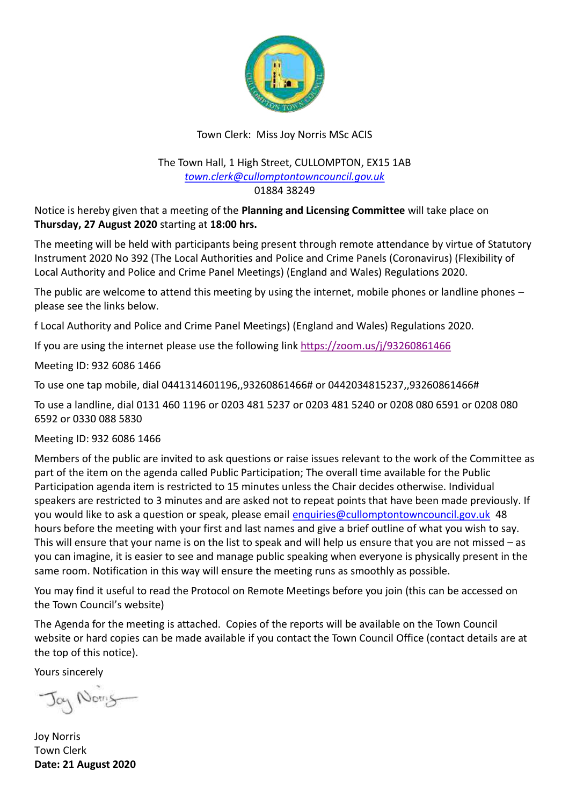

# Town Clerk: Miss Joy Norris MSc ACIS

#### The Town Hall, 1 High Street, CULLOMPTON, EX15 1AB *[town.clerk@cullomptontowncouncil.gov.uk](mailto:town.clerk@cullomptontowncouncil.gov.uk)* 01884 38249

Notice is hereby given that a meeting of the **Planning and Licensing Committee** will take place on **Thursday, 27 August 2020** starting at **18:00 hrs.**

The meeting will be held with participants being present through remote attendance by virtue of Statutory Instrument 2020 No 392 (The Local Authorities and Police and Crime Panels (Coronavirus) (Flexibility of Local Authority and Police and Crime Panel Meetings) (England and Wales) Regulations 2020.

The public are welcome to attend this meeting by using the internet, mobile phones or landline phones – please see the links below.

f Local Authority and Police and Crime Panel Meetings) (England and Wales) Regulations 2020.

If you are using the internet please use the following link <https://zoom.us/j/93260861466>

Meeting ID: 932 6086 1466

To use one tap mobile, dial 0441314601196,,93260861466# or 0442034815237,,93260861466#

To use a landline, dial 0131 460 1196 or 0203 481 5237 or 0203 481 5240 or 0208 080 6591 or 0208 080 6592 or 0330 088 5830

Meeting ID: 932 6086 1466

Members of the public are invited to ask questions or raise issues relevant to the work of the Committee as part of the item on the agenda called Public Participation; The overall time available for the Public Participation agenda item is restricted to 15 minutes unless the Chair decides otherwise. Individual speakers are restricted to 3 minutes and are asked not to repeat points that have been made previously. If you would like to ask a question or speak, please email [enquiries@cullomptontowncouncil.gov.uk](mailto:enquiries@cullomptontowncouncil.gov.uk) 48 hours before the meeting with your first and last names and give a brief outline of what you wish to say. This will ensure that your name is on the list to speak and will help us ensure that you are not missed – as you can imagine, it is easier to see and manage public speaking when everyone is physically present in the same room. Notification in this way will ensure the meeting runs as smoothly as possible.

You may find it useful to read the Protocol on Remote Meetings before you join (this can be accessed on the Town Council's website)

The Agenda for the meeting is attached. Copies of the reports will be available on the Town Council website or hard copies can be made available if you contact the Town Council Office (contact details are at the top of this notice).

Yours sincerely

Jay Noms

Joy Norris Town Clerk **Date: 21 August 2020**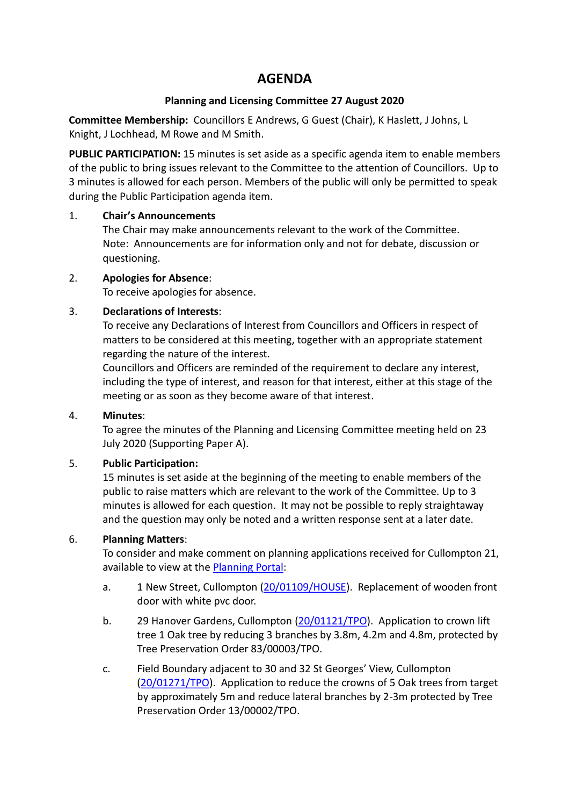# **AGENDA**

#### **Planning and Licensing Committee 27 August 2020**

**Committee Membership:** Councillors E Andrews, G Guest (Chair), K Haslett, J Johns, L Knight, J Lochhead, M Rowe and M Smith.

**PUBLIC PARTICIPATION:** 15 minutes is set aside as a specific agenda item to enable members of the public to bring issues relevant to the Committee to the attention of Councillors. Up to 3 minutes is allowed for each person. Members of the public will only be permitted to speak during the Public Participation agenda item.

#### 1. **Chair's Announcements**

The Chair may make announcements relevant to the work of the Committee. Note: Announcements are for information only and not for debate, discussion or questioning.

#### 2. **Apologies for Absence**:

To receive apologies for absence.

#### 3. **Declarations of Interests**:

To receive any Declarations of Interest from Councillors and Officers in respect of matters to be considered at this meeting, together with an appropriate statement regarding the nature of the interest.

Councillors and Officers are reminded of the requirement to declare any interest, including the type of interest, and reason for that interest, either at this stage of the meeting or as soon as they become aware of that interest.

#### 4. **Minutes**:

To agree the minutes of the Planning and Licensing Committee meeting held on 23 July 2020 (Supporting Paper A).

## 5. **Public Participation:**

15 minutes is set aside at the beginning of the meeting to enable members of the public to raise matters which are relevant to the work of the Committee. Up to 3 minutes is allowed for each question. It may not be possible to reply straightaway and the question may only be noted and a written response sent at a later date.

## 6. **Planning Matters**:

To consider and make comment on planning applications received for Cullompton 21, available to view at th[e Planning Portal:](https://planning.middevon.gov.uk/online-applications/search.do?action=simple&searchType=BuildingControl)

- a. 1 New Street, Cullompton [\(20/01109/HOUSE\)](https://planning.middevon.gov.uk/online-applications/applicationDetails.do?activeTab=documents&keyVal=QDTT66KS05K00). Replacement of wooden front door with white pvc door.
- b. 29 Hanover Gardens, Cullompton [\(20/01121/TPO\)](https://planning.middevon.gov.uk/online-applications/applicationDetails.do?activeTab=documents&keyVal=QDWV3KKS07T00). Application to crown lift tree 1 Oak tree by reducing 3 branches by 3.8m, 4.2m and 4.8m, protected by Tree Preservation Order 83/00003/TPO.
- c. Field Boundary adjacent to 30 and 32 St Georges' View, Cullompton [\(20/01271/TPO\)](https://planning.middevon.gov.uk/online-applications/applicationDetails.do?activeTab=documents&keyVal=QEWA2GKS07T00). Application to reduce the crowns of 5 Oak trees from target by approximately 5m and reduce lateral branches by 2-3m protected by Tree Preservation Order 13/00002/TPO.